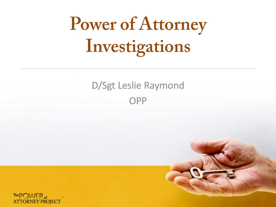# **Power of Attorney** Investigations

#### D/Sgt Leslie Raymond OPP



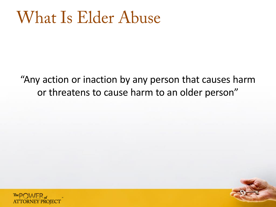#### **What Is Elder Abuse**

"Any action or inaction by any person that causes harm or threatens to cause harm to an older person"

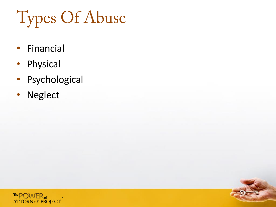**Types Of Abuse** 

- Financial
- Physical
- Psychological
- Neglect

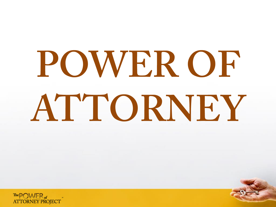# POWER OF ATTORNEY

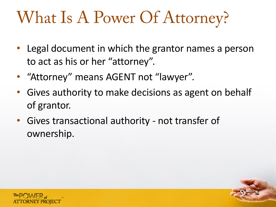## What Is A Power Of Attorney?

- Legal document in which the grantor names a person to act as his or her "attorney".
- "Attorney" means AGENT not "lawyer".
- Gives authority to make decisions as agent on behalf of grantor.
- Gives transactional authority not transfer of ownership.

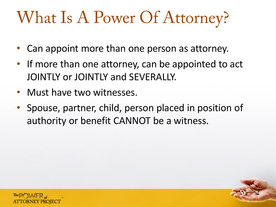#### What Is A Power Of Attorney?

- Can appoint more than one person as attorney.
- If more than one attorney, can be appointed to act JOINTLY or JOINTLY and SEVERALLY.
- Must have two witnesses.
- Spouse, partner, child, person placed in position of authority or benefit CANNOT be a witness.

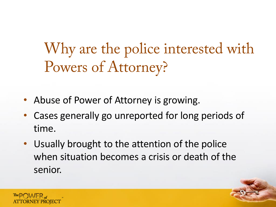Why are the police interested with Powers of Attorney?

- Abuse of Power of Attorney is growing.
- Cases generally go unreported for long periods of time.
- Usually brought to the attention of the police when situation becomes a crisis or death of the senior.

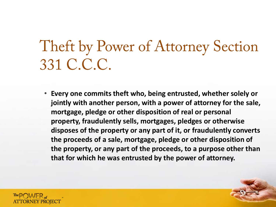#### Theft by Power of Attorney Section 331 C.C.C.

• **Every one commits theft who, being entrusted, whether solely or jointly with another person, with a power of attorney for the sale, mortgage, pledge or other disposition of real or personal property, fraudulently sells, mortgages, pledges or otherwise disposes of the property or any part of it, or fraudulently converts the proceeds of a sale, mortgage, pledge or other disposition of the property, or any part of the proceeds, to a purpose other than that for which he was entrusted by the power of attorney.**

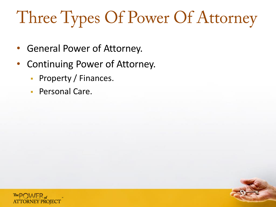## Three Types Of Power Of Attorney

- General Power of Attorney.
- Continuing Power of Attorney.
	- **Property / Finances.**
	- **Personal Care.**

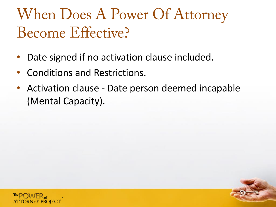#### When Does A Power Of Attorney Become Effective?

- Date signed if no activation clause included.
- Conditions and Restrictions.
- Activation clause Date person deemed incapable (Mental Capacity).

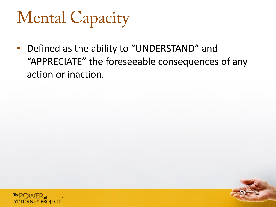## **Mental Capacity**

• Defined as the ability to "UNDERSTAND" and "APPRECIATE" the foreseeable consequences of any action or inaction.

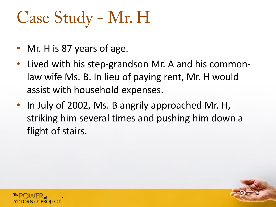- Mr. H is 87 years of age.
- Lived with his step-grandson Mr. A and his commonlaw wife Ms. B. In lieu of paying rent, Mr. H would assist with household expenses.
- In July of 2002, Ms. B angrily approached Mr. H, striking him several times and pushing him down a flight of stairs.

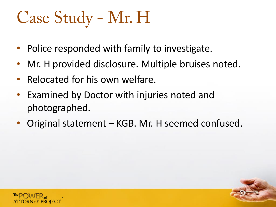- Police responded with family to investigate.
- Mr. H provided disclosure. Multiple bruises noted.
- Relocated for his own welfare.
- Examined by Doctor with injuries noted and photographed.
- Original statement KGB. Mr. H seemed confused.

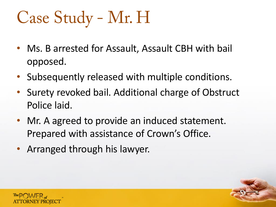- Ms. B arrested for Assault, Assault CBH with bail opposed.
- Subsequently released with multiple conditions.
- Surety revoked bail. Additional charge of Obstruct Police laid.
- Mr. A agreed to provide an induced statement. Prepared with assistance of Crown's Office.
- Arranged through his lawyer.

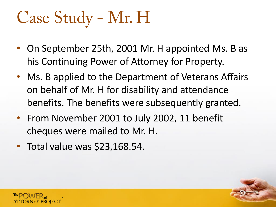- On September 25th, 2001 Mr. H appointed Ms. B as his Continuing Power of Attorney for Property.
- Ms. B applied to the Department of Veterans Affairs on behalf of Mr. H for disability and attendance benefits. The benefits were subsequently granted.
- From November 2001 to July 2002, 11 benefit cheques were mailed to Mr. H.
- Total value was \$23,168.54.

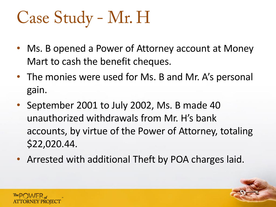- Ms. B opened a Power of Attorney account at Money Mart to cash the benefit cheques.
- The monies were used for Ms. B and Mr. A's personal gain.
- September 2001 to July 2002, Ms. B made 40 unauthorized withdrawals from Mr. H's bank accounts, by virtue of the Power of Attorney, totaling \$22,020.44.
- Arrested with additional Theft by POA charges laid.

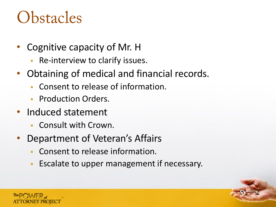#### **Obstacles**

- Cognitive capacity of Mr. H
	- Re-interview to clarify issues.
- Obtaining of medical and financial records.
	- Consent to release of information.
	- **Production Orders.**
- Induced statement
	- Consult with Crown.
- Department of Veteran's Affairs
	- Consent to release information.
	- **Escalate to upper management if necessary.**

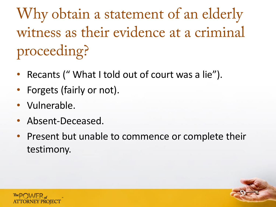Why obtain a statement of an elderly witness as their evidence at a criminal proceeding?

- Recants ("What I told out of court was a lie").
- Forgets (fairly or not).
- Vulnerable.
- Absent-Deceased.
- Present but unable to commence or complete their testimony.

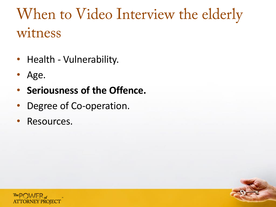#### When to Video Interview the elderly witness

- Health Vulnerability.
- Age.
- **Seriousness of the Offence.**
- Degree of Co-operation.
- Resources.

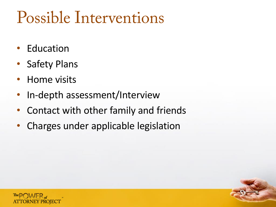#### Possible Interventions

- **Education**
- Safety Plans
- Home visits
- In-depth assessment/Interview
- Contact with other family and friends
- Charges under applicable legislation

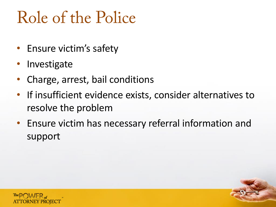#### Role of the Police

- Ensure victim's safety
- **Investigate**
- Charge, arrest, bail conditions
- If insufficient evidence exists, consider alternatives to resolve the problem
- Ensure victim has necessary referral information and support

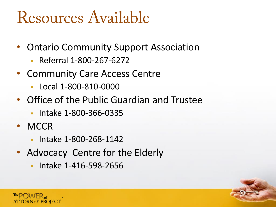#### Resources Available

- Ontario Community Support Association
	- Referral 1-800-267-6272
- Community Care Access Centre
	- Local 1-800-810-0000
- Office of the Public Guardian and Trustee
	- **Intake 1-800-366-0335**
- MCCR
	- **Intake 1-800-268-1142**
- Advocacy Centre for the Elderly
	- Intake 1-416-598-2656

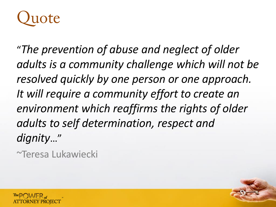

"*The prevention of abuse and neglect of older adults is a community challenge which will not be resolved quickly by one person or one approach. It will require a community effort to create an environment which reaffirms the rights of older adults to self determination, respect and dignity*…"

~Teresa Lukawiecki

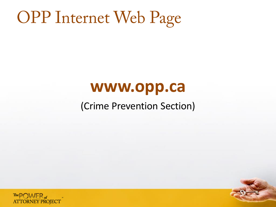#### **OPP Internet Web Page**

#### **www.opp.ca**

#### (Crime Prevention Section)